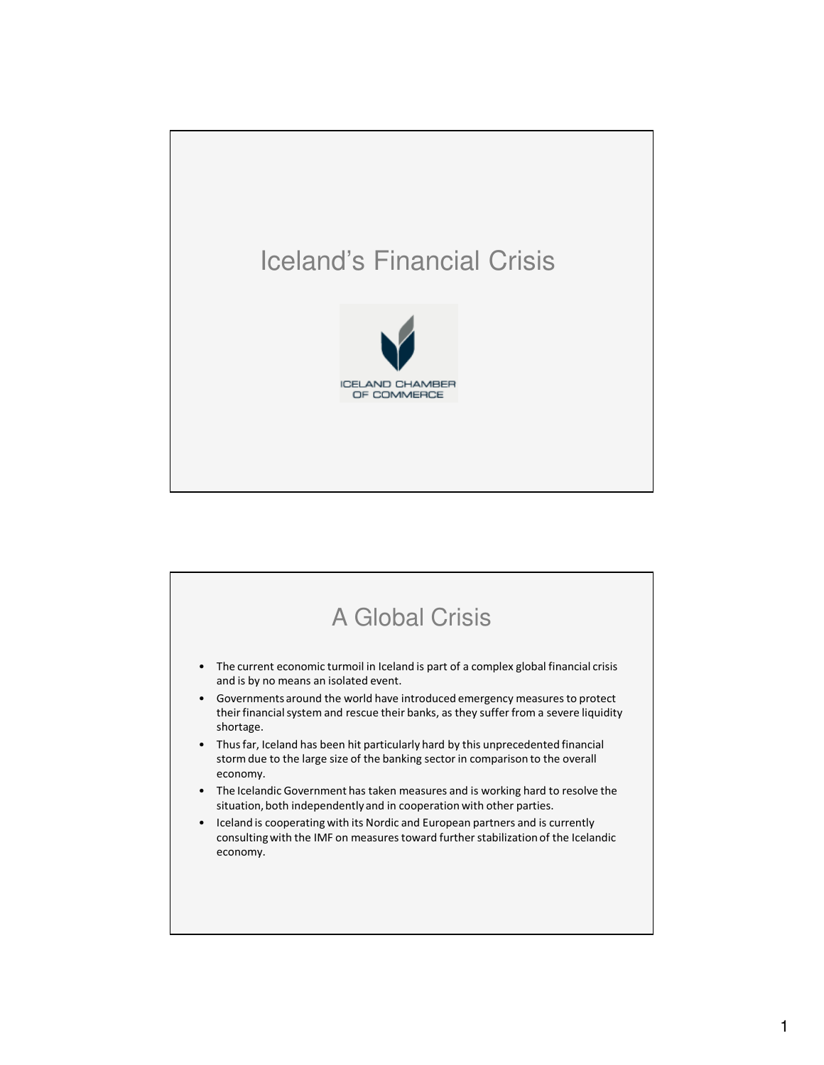

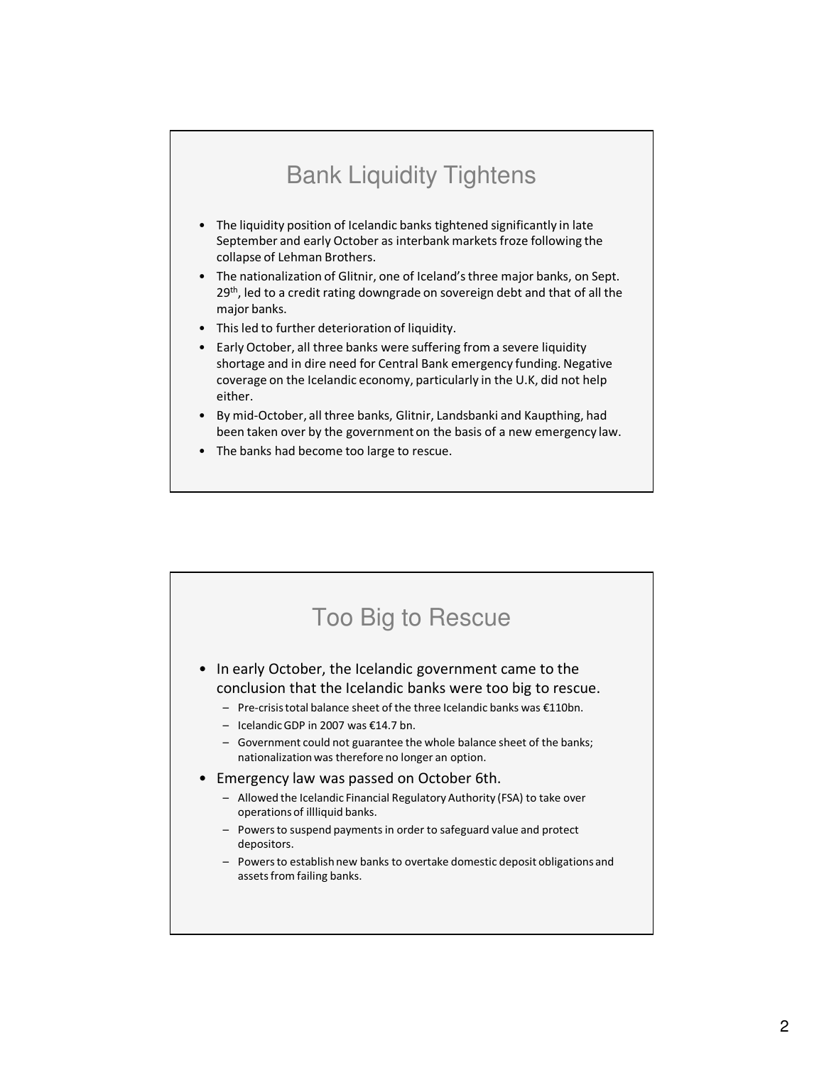### Bank Liquidity Tightens

- The liquidity position of Icelandic banks tightened significantly in late September and early October as interbank markets froze following the collapse of Lehman Brothers.
- The nationalization of Glitnir, one of Iceland's three major banks, on Sept. 29<sup>th</sup>, led to a credit rating downgrade on sovereign debt and that of all the major banks.
- This led to further deterioration of liquidity.
- Early October, all three banks were suffering from a severe liquidity shortage and in dire need for Central Bank emergency funding. Negative coverage on the Icelandic economy, particularly in the U.K, did not help either.
- By mid-October, all three banks, Glitnir, Landsbanki and Kaupthing, had been taken over by the government on the basis of a new emergency law.
- The banks had become too large to rescue.

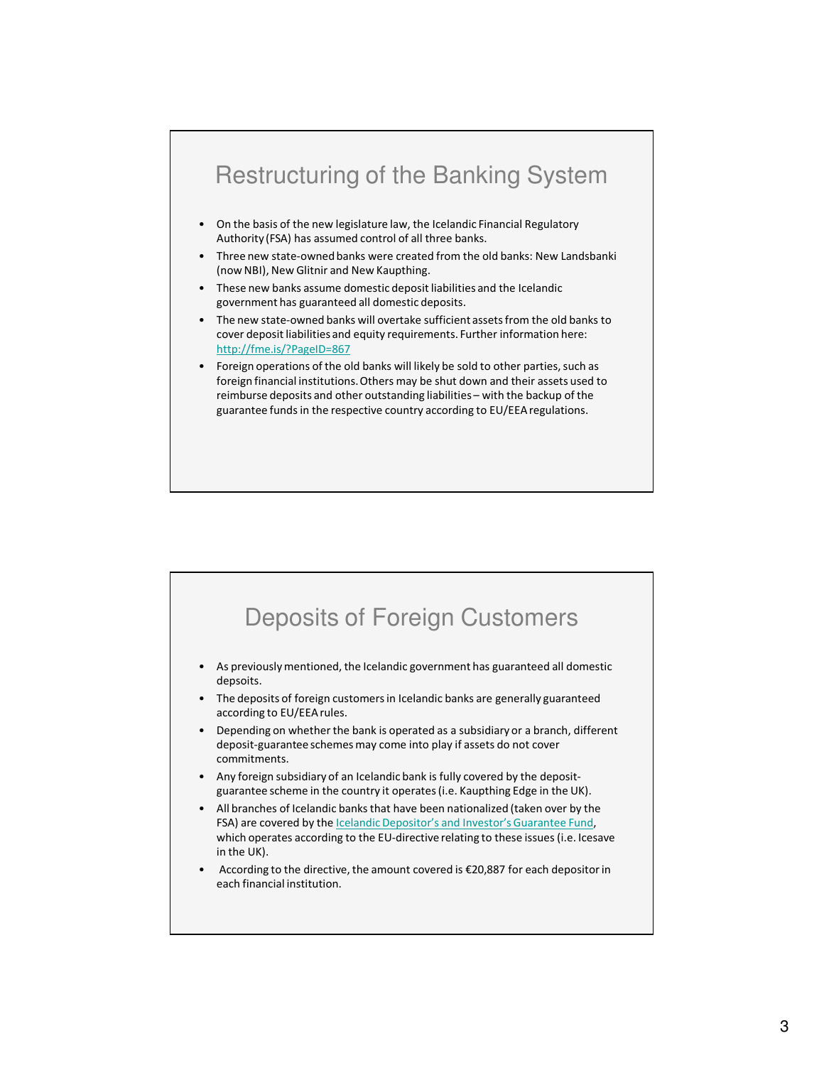#### Restructuring of the Banking System • On the basis of the new legislature law, the Icelandic Financial Regulatory Authority (FSA) has assumed control of all three banks. • Three new state-owned banks were created from the old banks: New Landsbanki (now NBI), New Glitnir and New Kaupthing. • These new banks assume domestic deposit liabilities and the Icelandic government has guaranteed all domestic deposits. • The new state-owned banks will overtake sufficient assets from the old banks to cover deposit liabilities and equity requirements. Further information here: http://fme.is/?PageID=867 • Foreign operations of the old banks will likely be sold to other parties, such as foreign financial institutions. Others may be shut down and their assets used to reimburse deposits and other outstanding liabilities – with the backup of the guarantee funds in the respective country according to EU/EEA regulations.

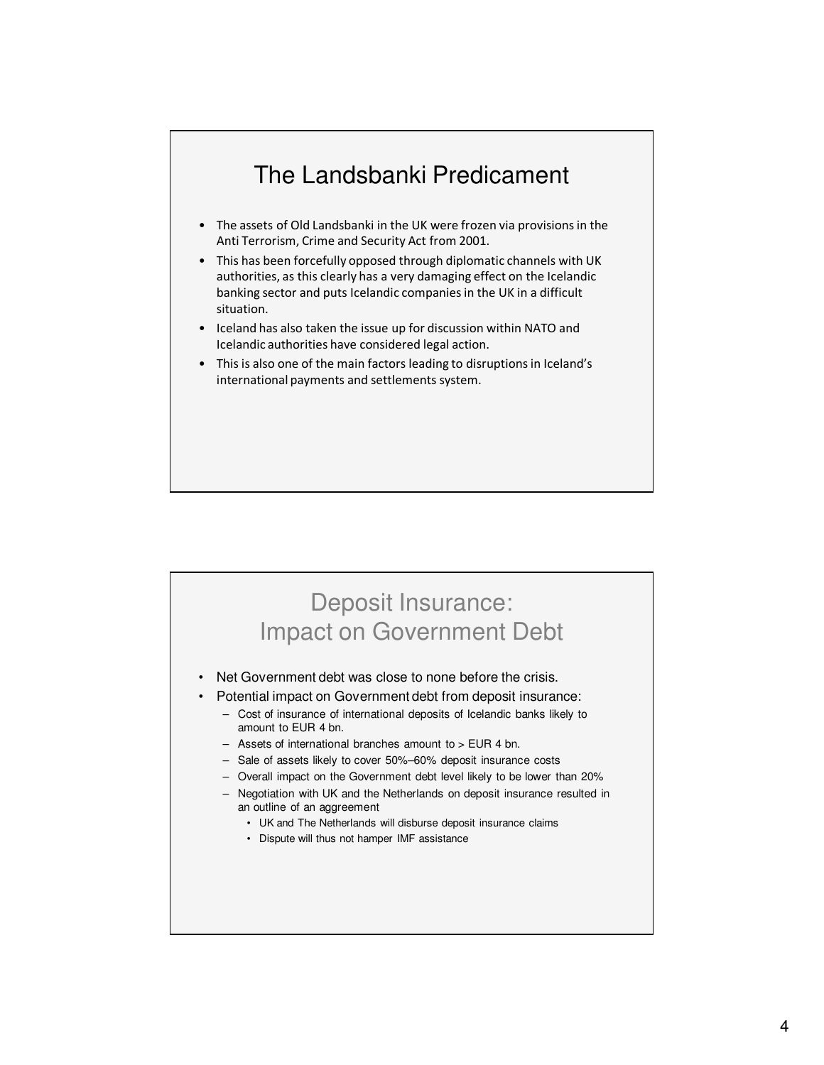# The Landsbanki Predicament

- The assets of Old Landsbanki in the UK were frozen via provisions in the Anti Terrorism, Crime and Security Act from 2001.
- This has been forcefully opposed through diplomatic channels with UK authorities, as this clearly has a very damaging effect on the Icelandic banking sector and puts Icelandic companies in the UK in a difficult situation.
- Iceland has also taken the issue up for discussion within NATO and Icelandic authorities have considered legal action.
- This is also one of the main factors leading to disruptions in Iceland's international payments and settlements system.

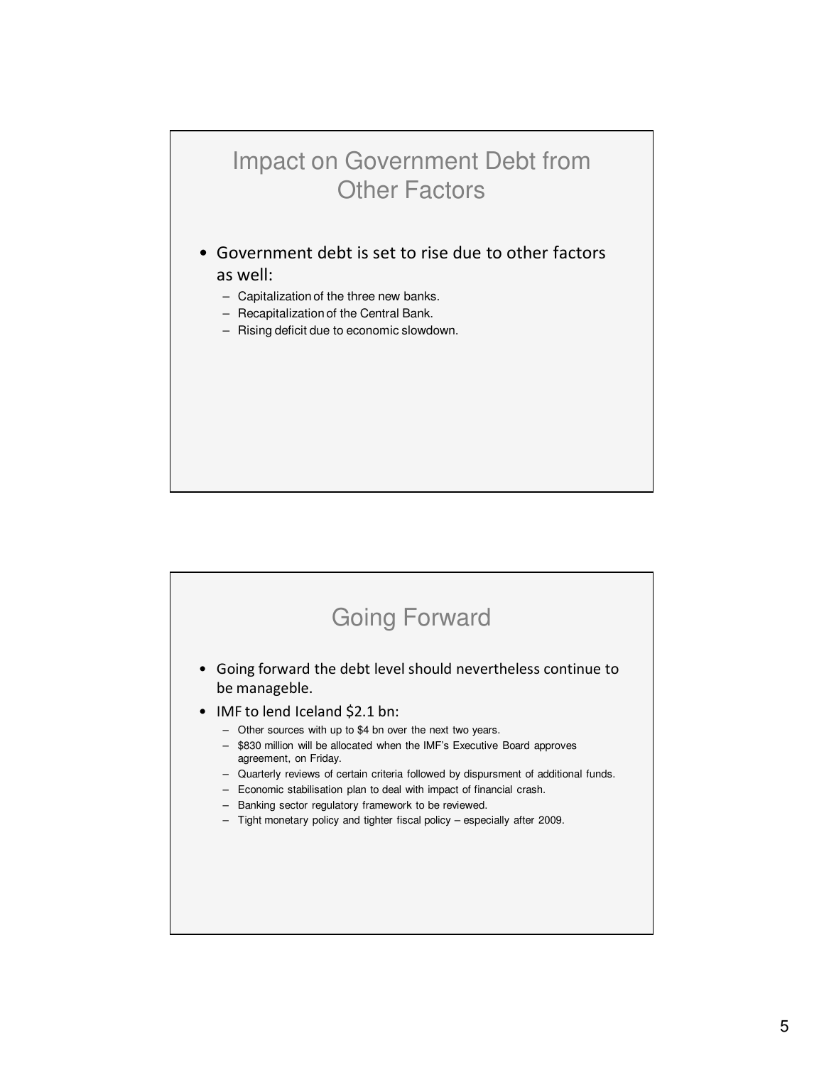#### Impact on Government Debt from Other Factors

• Government debt is set to rise due to other factors

#### as well:

- Capitalization of the three new banks.
- Recapitalization of the Central Bank.
- Rising deficit due to economic slowdown.

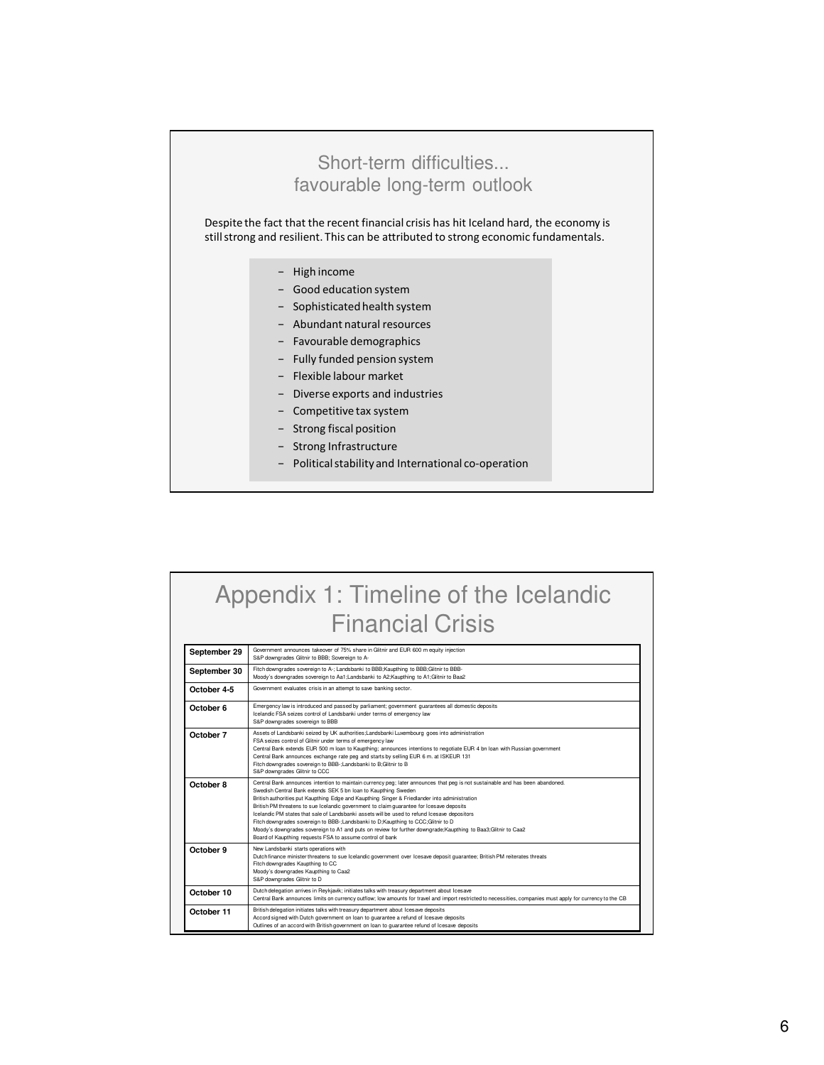

## Appendix 1: Timeline of the Icelandic Financial Crisis

| September 29 | Government announces takeover of 75% share in Glitnir and EUR 600 m equity injection<br>S&P downgrades Glitnir to BBB; Sovereign to A-                                                                                                                                                                                                                                                                                                                                                                                                                                                                                                                                                                                                                            |
|--------------|-------------------------------------------------------------------------------------------------------------------------------------------------------------------------------------------------------------------------------------------------------------------------------------------------------------------------------------------------------------------------------------------------------------------------------------------------------------------------------------------------------------------------------------------------------------------------------------------------------------------------------------------------------------------------------------------------------------------------------------------------------------------|
| September 30 | Fitch downgrades sovereign to A-; Landsbanki to BBB; Kaupthing to BBB; Glitnir to BBB-<br>Moody's downgrades sovereign to Aa1:Landsbanki to A2:Kaupthing to A1:Glitnir to Baa2                                                                                                                                                                                                                                                                                                                                                                                                                                                                                                                                                                                    |
| October 4-5  | Government evaluates crisis in an attempt to save banking sector.                                                                                                                                                                                                                                                                                                                                                                                                                                                                                                                                                                                                                                                                                                 |
| October 6    | Emergency law is introduced and passed by parliament; government guarantees all domestic deposits<br>Icelandic FSA seizes control of Landsbanki under terms of emergency law<br>S&P downgrades sovereign to BBB                                                                                                                                                                                                                                                                                                                                                                                                                                                                                                                                                   |
| October 7    | Assets of Landsbanki seized by UK authorities; Landsbanki Luxembourg goes into administration<br>FSA seizes control of Glitnir under terms of emergency law<br>Central Bank extends EUR 500 m loan to Kaupthing; announces intentions to negotiate EUR 4 bn loan with Russian government<br>Central Bank announces exchange rate peg and starts by selling EUR 6 m. at ISKEUR 131<br>Fitch downgrades sovereign to BBB-;Landsbanki to B;Glitnir to B<br>S&P downgrades Glitnir to CCC                                                                                                                                                                                                                                                                             |
| October 8    | Central Bank announces intention to maintain currency peg; later announces that peg is not sustainable and has been abandoned.<br>Swedish Central Bank extends SEK 5 bn Ioan to Kaupthing Sweden<br>British authorities put Kaupthing Edge and Kaupthing Singer & Friedlander into administration<br>British PM threatens to sue Icelandic government to claim guarantee for Icesave deposits<br>Icelandic PM states that sale of Landsbanki assets will be used to refund Icesave depositors<br>Fitch downgrades sovereign to BBB-;Landsbanki to D;Kaupthing to CCC;Glitnir to D<br>Moody's downgrades sovereign to A1 and puts on review for further downgrade; Kaupthing to Baa3; Glitnir to Caa2<br>Board of Kaupthing requests FSA to assume control of bank |
| October 9    | New Landsbanki starts operations with<br>Dutch finance minister threatens to sue Icelandic government over Icesave deposit guarantee; British PM reiterates threats<br>Fitch downgrades Kaupthing to CC<br>Moody's downgrades Kaupthing to Caa2<br>S&P downgrades Glitnir to D                                                                                                                                                                                                                                                                                                                                                                                                                                                                                    |
| October 10   | Dutch delegation arrives in Reykjavik; initiates talks with treasury department about Icesave<br>Central Bank announces limits on currency outflow: low amounts for travel and import restricted to necessities, companies must apply for currency to the CB                                                                                                                                                                                                                                                                                                                                                                                                                                                                                                      |
| October 11   | British delegation initiates talks with treasury department about Icesave deposits<br>Accord signed with Dutch government on loan to guarantee a refund of Icesave deposits<br>Outlines of an accord with British government on loan to guarantee refund of Icesave deposits                                                                                                                                                                                                                                                                                                                                                                                                                                                                                      |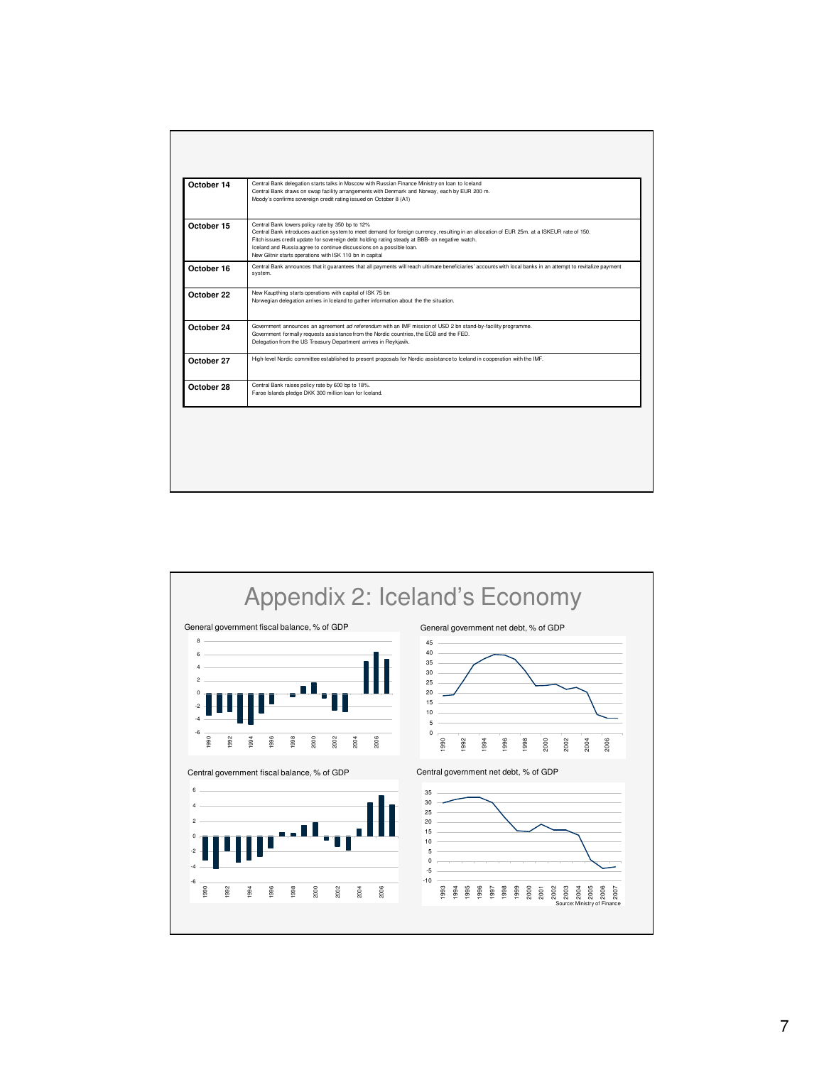| Central Bank lowers policy rate by 350 bp to 12%<br>Central Bank introduces auction system to meet demand for foreign currency, resulting in an allocation of EUR 25m. at a ISKEUR rate of 150.<br>Fitch issues credit update for sovereign debt holding rating steady at BBB- on negative watch.<br>Iceland and Russia agree to continue discussions on a possible loan.<br>New Glitnir starts operations with ISK 110 bn in capital<br>system.<br>New Kaupthing starts operations with capital of ISK 75 bn<br>Norwegian delegation arrives in Iceland to gather information about the the situation.<br>Government announces an agreement ad referendum with an IMF mission of USD 2 bn stand-by-facility programme.<br>Government formally requests assistance from the Nordic countries, the ECB and the FED.<br>Delegation from the US Treasury Department arrives in Reykjavik.<br>High-level Nordic committee established to present proposals for Nordic assistance to Iceland in cooperation with the IMF. | October 14 | Central Bank delegation starts talks in Moscow with Russian Finance Ministry on Ioan to Iceland<br>Central Bank draws on swap facility arrangements with Denmark and Norway, each by EUR 200 m.<br>Moody's confirms sovereign credit rating issued on October 8 (A1) |
|----------------------------------------------------------------------------------------------------------------------------------------------------------------------------------------------------------------------------------------------------------------------------------------------------------------------------------------------------------------------------------------------------------------------------------------------------------------------------------------------------------------------------------------------------------------------------------------------------------------------------------------------------------------------------------------------------------------------------------------------------------------------------------------------------------------------------------------------------------------------------------------------------------------------------------------------------------------------------------------------------------------------|------------|----------------------------------------------------------------------------------------------------------------------------------------------------------------------------------------------------------------------------------------------------------------------|
|                                                                                                                                                                                                                                                                                                                                                                                                                                                                                                                                                                                                                                                                                                                                                                                                                                                                                                                                                                                                                      | October 15 |                                                                                                                                                                                                                                                                      |
| October 22                                                                                                                                                                                                                                                                                                                                                                                                                                                                                                                                                                                                                                                                                                                                                                                                                                                                                                                                                                                                           | October 16 | Central Bank announces that it quarantees that all payments will reach ultimate beneficiaries' accounts with local banks in an attempt to revitalize payment                                                                                                         |
| October 24<br>October 27                                                                                                                                                                                                                                                                                                                                                                                                                                                                                                                                                                                                                                                                                                                                                                                                                                                                                                                                                                                             |            |                                                                                                                                                                                                                                                                      |
|                                                                                                                                                                                                                                                                                                                                                                                                                                                                                                                                                                                                                                                                                                                                                                                                                                                                                                                                                                                                                      |            |                                                                                                                                                                                                                                                                      |
|                                                                                                                                                                                                                                                                                                                                                                                                                                                                                                                                                                                                                                                                                                                                                                                                                                                                                                                                                                                                                      |            |                                                                                                                                                                                                                                                                      |
| Faroe Islands pledge DKK 300 million loan for Iceland.                                                                                                                                                                                                                                                                                                                                                                                                                                                                                                                                                                                                                                                                                                                                                                                                                                                                                                                                                               | October 28 | Central Bank raises policy rate by 600 bp to 18%.                                                                                                                                                                                                                    |